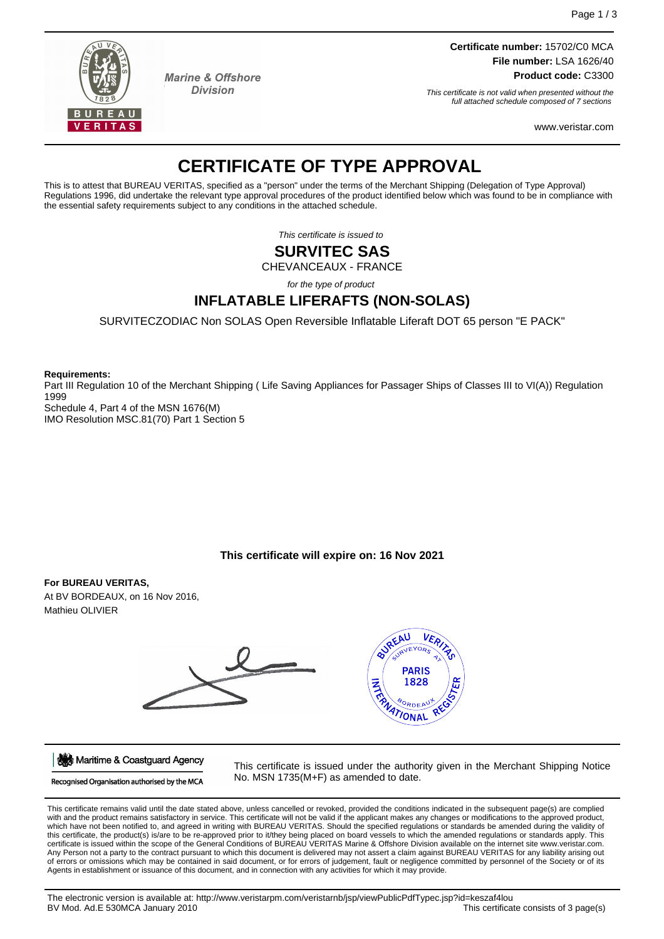

**Marine & Offshore Division** 

**Certificate number:** 15702/C0 MCA **File number:** LSA 1626/40 **Product code:** C3300

This certificate is not valid when presented without the full attached schedule composed of 7 sections

www.veristar.com

# **CERTIFICATE OF TYPE APPROVAL**

This is to attest that BUREAU VERITAS, specified as a "person" under the terms of the Merchant Shipping (Delegation of Type Approval) Regulations 1996, did undertake the relevant type approval procedures of the product identified below which was found to be in compliance with the essential safety requirements subject to any conditions in the attached schedule.

This certificate is issued to

# **SURVITEC SAS**

CHEVANCEAUX - FRANCE

for the type of product

# **INFLATABLE LIFERAFTS (NON-SOLAS)**

SURVITECZODIAC Non SOLAS Open Reversible Inflatable Liferaft DOT 65 person "E PACK"

**Requirements:**

Part III Regulation 10 of the Merchant Shipping ( Life Saving Appliances for Passager Ships of Classes III to VI(A)) Regulation 1999 Schedule 4, Part 4 of the MSN 1676(M)

IMO Resolution MSC.81(70) Part 1 Section 5

# **This certificate will expire on: 16 Nov 2021**

# **For BUREAU VERITAS,**

At BV BORDEAUX, on 16 Nov 2016, Mathieu OLIVIER



Maritime & Coastguard Agency

Recognised Organisation authorised by the MCA

This certificate is issued under the authority given in the Merchant Shipping Notice No. MSN 1735(M+F) as amended to date.

This certificate remains valid until the date stated above, unless cancelled or revoked, provided the conditions indicated in the subsequent page(s) are complied<br>with and the product remains satisfactory in service. This c which have not been notified to, and agreed in writing with BUREAU VERITAS. Should the specified regulations or standards be amended during the validity of this certificate, the product(s) is/are to be re-approved prior to it/they being placed on board vessels to which the amended regulations or standards apply. This certificate is issued within the scope of the General Conditions of BUREAU VERITAS Marine & Offshore Division available on the internet site www.veristar.com. Any Person not a party to the contract pursuant to which this document is delivered may not assert a claim against BUREAU VERITAS for any liability arising out of errors or omissions which may be contained in said document, or for errors of judgement, fault or negligence committed by personnel of the Society or of its Agents in establishment or issuance of this document, and in connection with any activities for which it may provide.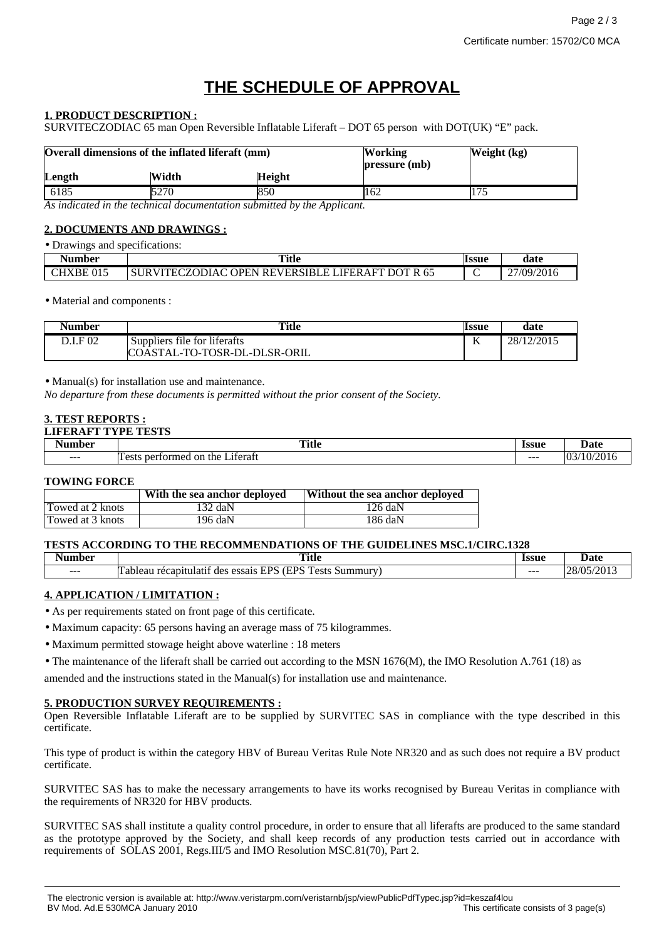# **THE SCHEDULE OF APPROVAL**

## **1. PRODUCT DESCRIPTION :**

SURVITECZODIAC 65 man Open Reversible Inflatable Liferaft – DOT 65 person with DOT(UK) "E" pack.

| Overall dimensions of the inflated liferaft (mm) |       |               | <b>Working</b><br>pressure (mb) | Weight (kg) |
|--------------------------------------------------|-------|---------------|---------------------------------|-------------|
| Length                                           | Width | <b>Height</b> |                                 |             |
| 6185                                             | 5270  | 850           | 162                             |             |

*As indicated in the technical documentation submitted by the Applicant.*

## **2. DOCUMENTS AND DRAWINGS :**

| • Drawings and specifications: |                                                  |              |            |
|--------------------------------|--------------------------------------------------|--------------|------------|
| Number                         | Title                                            | <b>lssue</b> | date       |
| CHXBE 015                      | SURVITECZODIAC OPEN REVERSIBLE LIFERAFT DOT R 65 |              | 27/09/2016 |

#### • Material and components :

| <b>Number</b> | <b>Title</b>                 | <b>Issue</b>    | date       |
|---------------|------------------------------|-----------------|------------|
| D.I.F 02      | Suppliers file for liferafts | <b>T</b> Z<br>v | 28/12/2015 |
|               | COASTAL-TO-TOSR-DL-DLSR-ORIL |                 |            |

• Manual(s) for installation use and maintenance.

*No departure from these documents is permitted without the prior consent of the Society.*

#### **3. TEST REPORTS :**

| <b>LIFERAFT TYPF</b><br>' mpara<br>2 L O |                                               |              |                 |
|------------------------------------------|-----------------------------------------------|--------------|-----------------|
| . .<br>Number                            | <b>Title</b>                                  | <b>Issue</b> | Date            |
| $- - -$                                  | m<br>Literati<br>nertormed<br>on the<br>Tests | $- - -$      | (10/2016)<br>03 |

#### **TOWING FORCE**

|                  | With the sea anchor deployed | Without the sea anchor deployed |
|------------------|------------------------------|---------------------------------|
| Towed at 2 knots | 132 daN                      | 126 daN                         |
| Towed at 3 knots | 196 daN                      | 186 daN                         |

#### **TESTS ACCORDING TO THE RECOMMENDATIONS OF THE GUIDELINES MSC.1/CIRC.1328**

| Number  | <b>Title</b>                                                                                                                                    | <b>Issue</b> | Date                                                                             |
|---------|-------------------------------------------------------------------------------------------------------------------------------------------------|--------------|----------------------------------------------------------------------------------|
|         | $\sim$ $\sim$                                                                                                                                   |              |                                                                                  |
| $- - -$ | <b>EDC</b><br>-<br><b>TDC</b><br>$\sim$<br>iummury<br>ableau<br>.1at1†<br>des<br>$. \Delta$ ct $.$<br>essais<br>reca1<br>יוחו<br>-51.<br>w<br>. | $- - -$      | .<br>$\cap$<br>,,,<br>יי<br>$\sim$<br>W.H<br>$\overline{\phantom{a}}$<br>$1 - 1$ |

# **4. APPLICATION / LIMITATION :**

• As per requirements stated on front page of this certificate.

• Maximum capacity: 65 persons having an average mass of 75 kilogrammes.

• Maximum permitted stowage height above waterline : 18 meters

• The maintenance of the liferaft shall be carried out according to the MSN 1676(M), the IMO Resolution A.761 (18) as

amended and the instructions stated in the Manual(s) for installation use and maintenance.

#### **5. PRODUCTION SURVEY REQUIREMENTS :**

Open Reversible Inflatable Liferaft are to be supplied by SURVITEC SAS in compliance with the type described in this certificate.

This type of product is within the category HBV of Bureau Veritas Rule Note NR320 and as such does not require a BV product certificate.

SURVITEC SAS has to make the necessary arrangements to have its works recognised by Bureau Veritas in compliance with the requirements of NR320 for HBV products.

SURVITEC SAS shall institute a quality control procedure, in order to ensure that all liferafts are produced to the same standard as the prototype approved by the Society, and shall keep records of any production tests carried out in accordance with requirements of SOLAS 2001, Regs.III/5 and IMO Resolution MSC.81(70), Part 2.